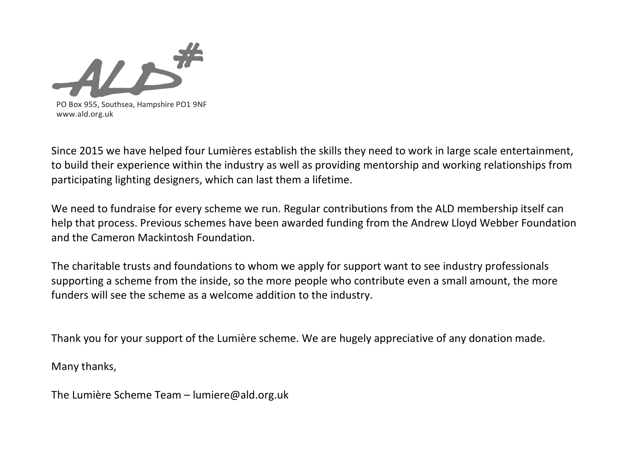

Since 2015 we have helped four Lumières establish the skills they need to work in large scale entertainment, to build their experience within the industry as well as providing mentorship and working relationships from participating lighting designers, which can last them a lifetime.

We need to fundraise for every scheme we run. Regular contributions from the ALD membership itself can help that process. Previous schemes have been awarded funding from the Andrew Lloyd Webber Foundation and the Cameron Mackintosh Foundation.

The charitable trusts and foundations to whom we apply for support want to see industry professionals supporting a scheme from the inside, so the more people who contribute even a small amount, the more funders will see the scheme as a welcome addition to the industry.

Thank you for your support of the Lumière scheme. We are hugely appreciative of any donation made.

Many thanks,

The Lumière Scheme Team – lumiere@ald.org.uk